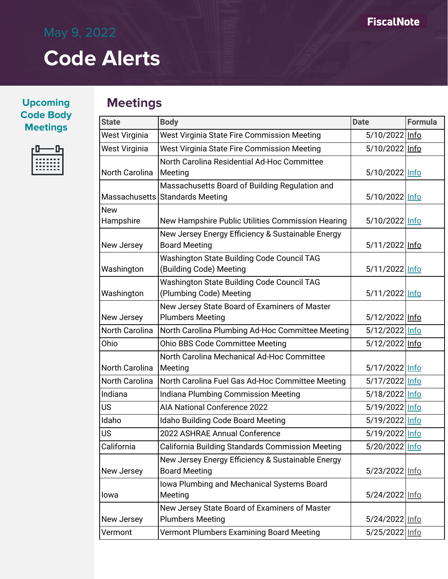### **Upcoming Code Body Meetings**



## **Meetings**

| <b>State</b>            | <b>Body</b><br><b>Date</b>                                                                 |                  | <b>Formula</b> |
|-------------------------|--------------------------------------------------------------------------------------------|------------------|----------------|
| West Virginia           | West Virginia State Fire Commission Meeting                                                | 5/10/2022 Info   |                |
| West Virginia           | West Virginia State Fire Commission Meeting                                                | 5/10/2022 Info   |                |
| North Carolina          | North Carolina Residential Ad-Hoc Committee<br>Meeting                                     | 5/10/2022 Info   |                |
|                         | Massachusetts Board of Building Regulation and<br>Massachusetts Standards Meeting          | 5/10/2022 Info   |                |
| <b>New</b><br>Hampshire | New Hampshire Public Utilities Commission Hearing                                          | 5/10/2022 Info   |                |
| New Jersey              | New Jersey Energy Efficiency & Sustainable Energy<br><b>Board Meeting</b>                  | 5/11/2022 Info   |                |
| Washington              | Washington State Building Code Council TAG<br>(Building Code) Meeting                      | 5/11/2022 Info   |                |
| Washington              | Washington State Building Code Council TAG<br>(Plumbing Code) Meeting                      | 5/11/2022 Info   |                |
| New Jersey              | New Jersey State Board of Examiners of Master<br><b>Plumbers Meeting</b>                   | 5/12/2022 Info   |                |
| North Carolina          | North Carolina Plumbing Ad-Hoc Committee Meeting                                           | 5/12/2022 Info   |                |
| Ohio                    | Ohio BBS Code Committee Meeting                                                            | 5/12/2022 Info   |                |
| North Carolina          | North Carolina Mechanical Ad-Hoc Committee<br>Meeting                                      |                  | 5/17/2022 Info |
| North Carolina          | North Carolina Fuel Gas Ad-Hoc Committee Meeting                                           | 5/17/2022 Info   |                |
| Indiana                 | Indiana Plumbing Commission Meeting                                                        | 5/18/2022   Info |                |
| <b>US</b>               | <b>AIA National Conference 2022</b>                                                        | 5/19/2022 Info   |                |
| Idaho                   | <b>Idaho Building Code Board Meeting</b>                                                   | 5/19/2022 Info   |                |
| <b>US</b>               | 2022 ASHRAE Annual Conference                                                              | 5/19/2022 Info   |                |
| California              | California Building Standards Commission Meeting                                           | 5/20/2022 Info   |                |
| New Jersey              | New Jersey Energy Efficiency & Sustainable Energy<br><b>Board Meeting</b>                  | 5/23/2022 Info   |                |
| lowa                    | Iowa Plumbing and Mechanical Systems Board<br>Meeting                                      | 5/24/2022 Info   |                |
| New Jersey              | New Jersey State Board of Examiners of Master<br><b>Plumbers Meeting</b><br>5/24/2022 Info |                  |                |
| Vermont                 | Vermont Plumbers Examining Board Meeting<br>5/25/2022 Info                                 |                  |                |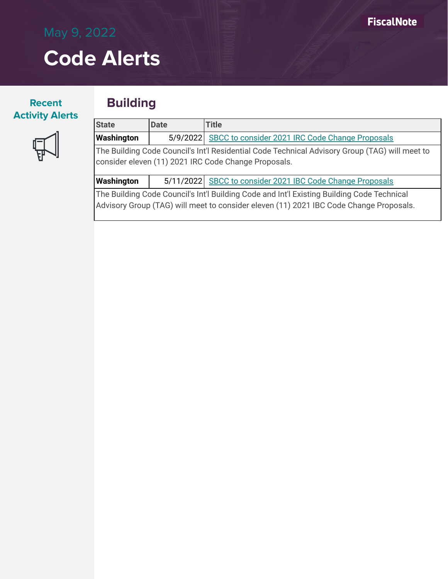### **Recent Activity Alerts**

### **Building**



| <b>State</b>                                                                                   | Date | Title                                                    |  |
|------------------------------------------------------------------------------------------------|------|----------------------------------------------------------|--|
| Washington                                                                                     |      | 5/9/2022 SBCC to consider 2021 IRC Code Change Proposals |  |
| The Building Code Council's Int'l Residential Code Technical Advisory Group (TAG) will meet to |      |                                                          |  |
| consider eleven (11) 2021 IRC Code Change Proposals.                                           |      |                                                          |  |

**Washington** | 5/11/2022 [SBCC to consider 2021 IBC Code Change Proposals](https://sbcc.wa.gov/sites/default/files/2022-05/a051122IBC.pdf)

The Building Code Council's Int'l Building Code and Int'l Existing Building Code Technical Advisory Group (TAG) will meet to consider eleven (11) 2021 IBC Code Change Proposals.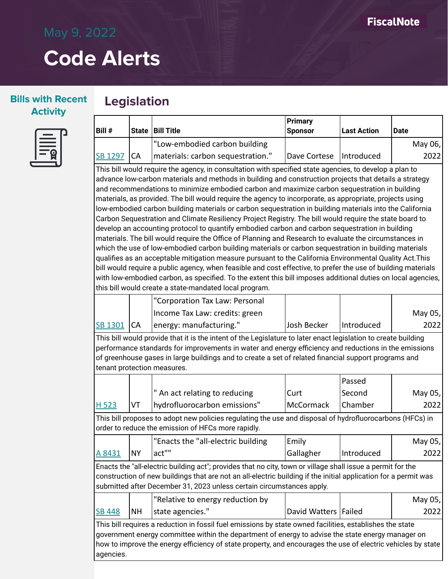### **Bills with Recent Activity**

### **Legislation**



| $ $ Bill $#$   |            | <b>State Bill Title</b>           | <b>Primary</b><br><b>Sponsor</b> | <b>Last Action</b> | Date      |
|----------------|------------|-----------------------------------|----------------------------------|--------------------|-----------|
|                |            | "Low-embodied carbon building     |                                  |                    | May 06, l |
| <b>SB 1297</b> | <b>ICA</b> | materials: carbon sequestration." | Dave Cortese   Introduced        |                    | 2022      |

This bill would require the agency, in consultation with specified state agencies, to develop a plan to advance low-carbon materials and methods in building and construction projects that details a strategy and recommendations to minimize embodied carbon and maximize carbon sequestration in building materials, as provided. The bill would require the agency to incorporate, as appropriate, projects using low-embodied carbon building materials or carbon sequestration in building materials into the California Carbon Sequestration and Climate Resiliency Project Registry. The bill would require the state board to develop an accounting protocol to quantify embodied carbon and carbon sequestration in building materials. The bill would require the Office of Planning and Research to evaluate the circumstances in which the use of low-embodied carbon building materials or carbon sequestration in building materials qualifies as an acceptable mitigation measure pursuant to the California Environmental Quality Act.This bill would require a public agency, when feasible and cost effective, to prefer the use of building materials with low-embodied carbon, as specified. To the extent this bill imposes additional duties on local agencies, this bill would create a state-mandated local program.

|              | "Corporation Tax Law: Personal |             |            |         |
|--------------|--------------------------------|-------------|------------|---------|
|              | Income Tax Law: credits: green |             |            | May 05, |
| SB 1301   CA | energy: manufacturing."        | Josh Becker | Introduced | 20221   |

This bill would provide that it is the intent of the Legislature to later enact legislation to create building performance standards for improvements in water and energy efficiency and reductions in the emissions of greenhouse gases in large buildings and to create a set of related financial support programs and tenant protection measures.

|                                                                                                                                                                                                                                                                                                                                            |           |                                                                                                                                                                |                        | Passed     |         |
|--------------------------------------------------------------------------------------------------------------------------------------------------------------------------------------------------------------------------------------------------------------------------------------------------------------------------------------------|-----------|----------------------------------------------------------------------------------------------------------------------------------------------------------------|------------------------|------------|---------|
|                                                                                                                                                                                                                                                                                                                                            |           | " An act relating to reducing                                                                                                                                  | Curt                   | Second     | May 05, |
| H 523                                                                                                                                                                                                                                                                                                                                      | VT        | hydrofluorocarbon emissions"                                                                                                                                   | 2022                   |            |         |
|                                                                                                                                                                                                                                                                                                                                            |           | This bill proposes to adopt new policies regulating the use and disposal of hydrofluorocarbons (HFCs) in<br>order to reduce the emission of HFCs more rapidly. |                        |            |         |
|                                                                                                                                                                                                                                                                                                                                            |           | "Enacts the "all-electric building                                                                                                                             | Emily                  |            | May 05, |
| A 8431                                                                                                                                                                                                                                                                                                                                     | <b>NY</b> | act""                                                                                                                                                          | Gallagher              | Introduced | 2022    |
| Enacts the "all-electric building act"; provides that no city, town or village shall issue a permit for the<br>construction of new buildings that are not an all-electric building if the initial application for a permit was<br>submitted after December 31, 2023 unless certain circumstances apply.                                    |           |                                                                                                                                                                |                        |            |         |
|                                                                                                                                                                                                                                                                                                                                            |           | "Relative to energy reduction by                                                                                                                               |                        |            | May 05, |
| <b>SB 448</b>                                                                                                                                                                                                                                                                                                                              | <b>NH</b> | state agencies."                                                                                                                                               | David Watters   Failed |            | 2022    |
| This bill requires a reduction in fossil fuel emissions by state owned facilities, establishes the state<br>government energy committee within the department of energy to advise the state energy manager on<br>how to improve the energy efficiency of state property, and encourages the use of electric vehicles by state<br>agencies. |           |                                                                                                                                                                |                        |            |         |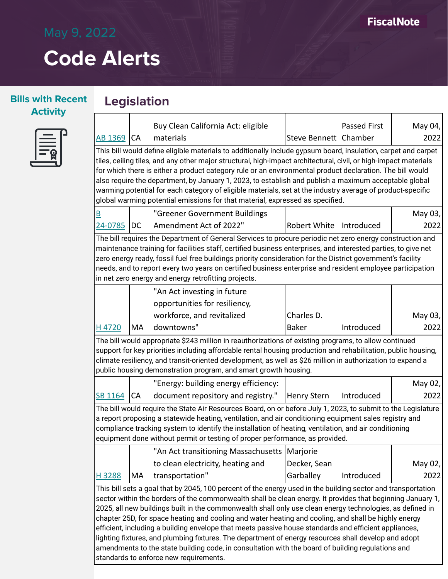### **Bills with Recent Activity**

## **Legislation**



|                                                                                                                                                                                                                                                                                                                                                                                                                                                                                                                                                                                                                                                                                                                                                                                                                 |           | Buy Clean California Act: eligible                                                                                                                                                                                                                                                                                                                                                                                                                                                                                                                                                                                                                     |                         | <b>Passed First</b> | May 04, |
|-----------------------------------------------------------------------------------------------------------------------------------------------------------------------------------------------------------------------------------------------------------------------------------------------------------------------------------------------------------------------------------------------------------------------------------------------------------------------------------------------------------------------------------------------------------------------------------------------------------------------------------------------------------------------------------------------------------------------------------------------------------------------------------------------------------------|-----------|--------------------------------------------------------------------------------------------------------------------------------------------------------------------------------------------------------------------------------------------------------------------------------------------------------------------------------------------------------------------------------------------------------------------------------------------------------------------------------------------------------------------------------------------------------------------------------------------------------------------------------------------------------|-------------------------|---------------------|---------|
| AB 1369                                                                                                                                                                                                                                                                                                                                                                                                                                                                                                                                                                                                                                                                                                                                                                                                         | <b>CA</b> | materials                                                                                                                                                                                                                                                                                                                                                                                                                                                                                                                                                                                                                                              | Steve Bennett   Chamber |                     | 2022    |
|                                                                                                                                                                                                                                                                                                                                                                                                                                                                                                                                                                                                                                                                                                                                                                                                                 |           | This bill would define eligible materials to additionally include gypsum board, insulation, carpet and carpet<br>tiles, ceiling tiles, and any other major structural, high-impact architectural, civil, or high-impact materials<br>for which there is either a product category rule or an environmental product declaration. The bill would<br>also require the department, by January 1, 2023, to establish and publish a maximum acceptable global<br>warming potential for each category of eligible materials, set at the industry average of product-specific<br>global warming potential emissions for that material, expressed as specified. |                         |                     |         |
| $\overline{\mathsf{B}}$                                                                                                                                                                                                                                                                                                                                                                                                                                                                                                                                                                                                                                                                                                                                                                                         |           | "Greener Government Buildings                                                                                                                                                                                                                                                                                                                                                                                                                                                                                                                                                                                                                          |                         |                     | May 03, |
| 24-0785                                                                                                                                                                                                                                                                                                                                                                                                                                                                                                                                                                                                                                                                                                                                                                                                         | DC        | Amendment Act of 2022"                                                                                                                                                                                                                                                                                                                                                                                                                                                                                                                                                                                                                                 | Robert White            | Introduced          | 2022    |
|                                                                                                                                                                                                                                                                                                                                                                                                                                                                                                                                                                                                                                                                                                                                                                                                                 |           | The bill requires the Department of General Services to procure periodic net zero energy construction and<br>maintenance training for facilities staff, certified business enterprises, and interested parties, to give net<br>zero energy ready, fossil fuel free buildings priority consideration for the District government's facility<br>needs, and to report every two years on certified business enterprise and resident employee participation<br>in net zero energy and energy retrofitting projects.                                                                                                                                        |                         |                     |         |
|                                                                                                                                                                                                                                                                                                                                                                                                                                                                                                                                                                                                                                                                                                                                                                                                                 |           | "An Act investing in future                                                                                                                                                                                                                                                                                                                                                                                                                                                                                                                                                                                                                            |                         |                     |         |
|                                                                                                                                                                                                                                                                                                                                                                                                                                                                                                                                                                                                                                                                                                                                                                                                                 |           | opportunities for resiliency,                                                                                                                                                                                                                                                                                                                                                                                                                                                                                                                                                                                                                          |                         |                     |         |
|                                                                                                                                                                                                                                                                                                                                                                                                                                                                                                                                                                                                                                                                                                                                                                                                                 |           | workforce, and revitalized                                                                                                                                                                                                                                                                                                                                                                                                                                                                                                                                                                                                                             | Charles D.              |                     | May 03, |
| H4720                                                                                                                                                                                                                                                                                                                                                                                                                                                                                                                                                                                                                                                                                                                                                                                                           | MA        | downtowns"                                                                                                                                                                                                                                                                                                                                                                                                                                                                                                                                                                                                                                             | <b>Baker</b>            | Introduced          | 2022    |
|                                                                                                                                                                                                                                                                                                                                                                                                                                                                                                                                                                                                                                                                                                                                                                                                                 |           | The bill would appropriate \$243 million in reauthorizations of existing programs, to allow continued<br>support for key priorities including affordable rental housing production and rehabilitation, public housing,<br>climate resiliency, and transit-oriented development, as well as \$26 million in authorization to expand a<br>public housing demonstration program, and smart growth housing.                                                                                                                                                                                                                                                |                         |                     |         |
|                                                                                                                                                                                                                                                                                                                                                                                                                                                                                                                                                                                                                                                                                                                                                                                                                 |           | "Energy: building energy efficiency:                                                                                                                                                                                                                                                                                                                                                                                                                                                                                                                                                                                                                   |                         |                     | May 02, |
| SB 1164                                                                                                                                                                                                                                                                                                                                                                                                                                                                                                                                                                                                                                                                                                                                                                                                         | CA        | document repository and registry."                                                                                                                                                                                                                                                                                                                                                                                                                                                                                                                                                                                                                     | <b>Henry Stern</b>      | Introduced          | 2022    |
| The bill would require the State Air Resources Board, on or before July 1, 2023, to submit to the Legislature<br>a report proposing a statewide heating, ventilation, and air conditioning equipment sales registry and<br>compliance tracking system to identify the installation of heating, ventilation, and air conditioning<br>equipment done without permit or testing of proper performance, as provided.                                                                                                                                                                                                                                                                                                                                                                                                |           |                                                                                                                                                                                                                                                                                                                                                                                                                                                                                                                                                                                                                                                        |                         |                     |         |
|                                                                                                                                                                                                                                                                                                                                                                                                                                                                                                                                                                                                                                                                                                                                                                                                                 |           | "An Act transitioning Massachusetts                                                                                                                                                                                                                                                                                                                                                                                                                                                                                                                                                                                                                    | Marjorie                |                     |         |
|                                                                                                                                                                                                                                                                                                                                                                                                                                                                                                                                                                                                                                                                                                                                                                                                                 |           | to clean electricity, heating and                                                                                                                                                                                                                                                                                                                                                                                                                                                                                                                                                                                                                      | Decker, Sean            |                     | May 02, |
| H 3288                                                                                                                                                                                                                                                                                                                                                                                                                                                                                                                                                                                                                                                                                                                                                                                                          | MA        | transportation"                                                                                                                                                                                                                                                                                                                                                                                                                                                                                                                                                                                                                                        | Garballey               | Introduced          | 2022    |
| This bill sets a goal that by 2045, 100 percent of the energy used in the building sector and transportation<br>sector within the borders of the commonwealth shall be clean energy. It provides that beginning January 1,<br>2025, all new buildings built in the commonwealth shall only use clean energy technologies, as defined in<br>chapter 25D, for space heating and cooling and water heating and cooling, and shall be highly energy<br>efficient, including a building envelope that meets passive house standards and efficient appliances,<br>lighting fixtures, and plumbing fixtures. The department of energy resources shall develop and adopt<br>amendments to the state building code, in consultation with the board of building regulations and<br>standards to enforce new requirements. |           |                                                                                                                                                                                                                                                                                                                                                                                                                                                                                                                                                                                                                                                        |                         |                     |         |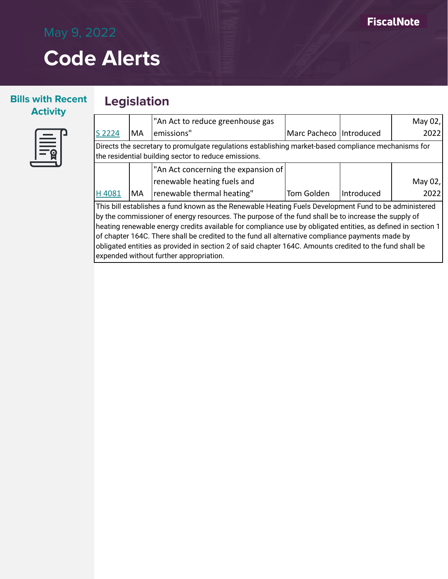May 02, 2022

## **Code Alerts**

#### **Bills with Recent Activity**





#### [S 2224](http://app.fiscalnote.com/share/bill?url=9814f1ca3e69680a7f5ae382c46ac678) MA "An Act to reduce greenhouse gas emissions" Marc Pacheco | Introduced

Directs the secretary to promulgate regulations establishing market-based compliance mechanisms for the residential building sector to reduce emissions.

|       |     | $\vert$ "An Act concerning the expansion of $\vert$ |            |                   |         |
|-------|-----|-----------------------------------------------------|------------|-------------------|---------|
|       |     | renewable heating fuels and                         |            |                   | May 02, |
| H4081 | 'MA | renewable thermal heating"                          | Tom Golden | <i>Introduced</i> | 2022    |

This bill establishes a fund known as the Renewable Heating Fuels Development Fund to be administered by the commissioner of energy resources. The purpose of the fund shall be to increase the supply of heating renewable energy credits available for compliance use by obligated entities, as defined in section 1 of chapter 164C. There shall be credited to the fund all alternative compliance payments made by obligated entities as provided in section 2 of said chapter 164C. Amounts credited to the fund shall be expended without further appropriation.